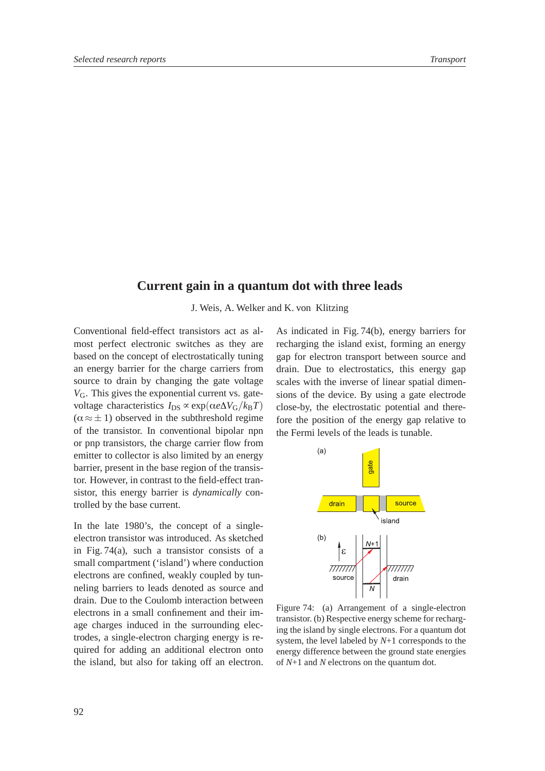## **Current gain in a quantum dot with three leads**

J. Weis, A. Welker and K. von Klitzing

Conventional field-effect transistors act as almost perfect electronic switches as they are based on the concept of electrostatically tuning an energy barrier for the charge carriers from source to drain by changing the gate voltage *V*G. This gives the exponential current vs. gatevoltage characteristics  $I_{DS} \propto \exp(\alpha e \Delta V_G / k_B T)$  $(\alpha \approx \pm 1)$  observed in the subthreshold regime fore the position of of the transistor. In conventional bipolar npn or pnp transistors, the charge carrier flow from emitter to collector is also limited by an energy barrier, present in the base region of the transistor. However, in contrast to the field-effect transistor, this energy barrier is *dynamically* controlled by the base current.

In the late 1980's, the concept of a singleelectron transistor was introduced. As sketched in Fig. 74(a), such a transistor consists of a small compartment ('island') where conduction electrons are confined, weakly coupled by tunneling barriers to leads denoted as source and drain. Due to the Coulomb interaction between electrons in a small confinement and their image charges induced in the surrounding electrodes, a single-electron charging energy is required for adding an additional electron onto the island, but also for taking off an electron.

 close-by, the electrostatic potential and there-As indicated in Fig. 74(b), energy barriers for recharging the island exist, forming an energy gap for electron transport between source and drain. Due to electrostatics, this energy gap scales with the inverse of linear spatial dimensions of the device. By using a gate electrode fore the position of the energy gap relative to the Fermi levels of the leads is tunable.



Figure 74: (a) Arrangement of a single-electron transistor. (b) Respective energy scheme for recharging the island by single electrons. For a quantum dot system, the level labeled by *N*+1 corresponds to the energy difference between the ground state energies of *N*+1 and *N* electrons on the quantum dot.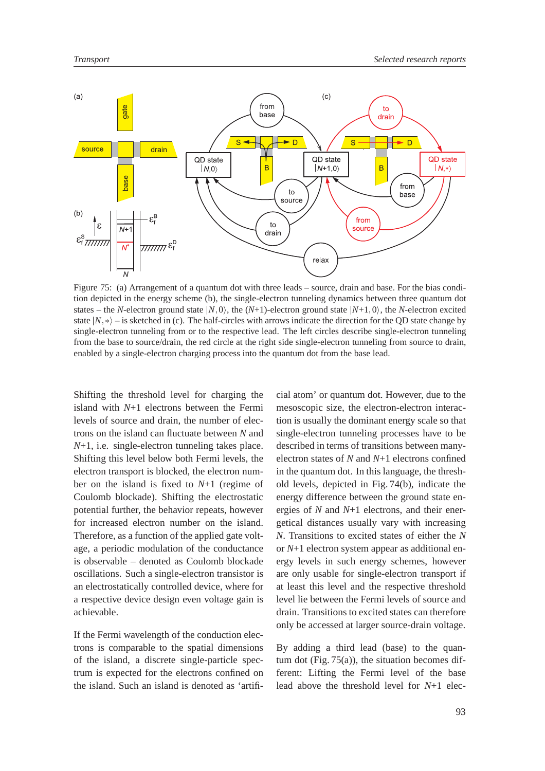

Figure 75: (a) Arrangement of a quantum dot with three leads – source, drain and base. For the bias condition depicted in the energy scheme (b), the single-electron tunneling dynamics between three quantum dot states – the *N*-electron ground state  $|N, 0\rangle$ , the  $(N+1)$ -electron ground state  $|N+1, 0\rangle$ , the *N*-electron excited state  $|N, * \rangle$  – is sketched in (c). The half-circles with arrows indicate the direction for the QD state change by single-electron tunneling from or to the respective lead. The left circles describe single-electron tunneling from the base to source/drain, the red circle at the right side single-electron tunneling from source to drain, enabled by a single-electron charging process into the quantum dot from the base lead.

Shifting the threshold level for charging the island with *N*+1 electrons between the Fermi levels of source and drain, the number of electrons on the island can fluctuate between *N* and *N*+1, i.e. single-electron tunneling takes place. Shifting this level below both Fermi levels, the electron transport is blocked, the electron number on the island is fixed to *N*+1 (regime of Coulomb blockade). Shifting the electrostatic potential further, the behavior repeats, however for increased electron number on the island. Therefore, as a function of the applied gate voltage, a periodic modulation of the conductance is observable – denoted as Coulomb blockade oscillations. Such a single-electron transistor is an electrostatically controlled device, where for a respective device design even voltage gain is achievable.

If the Fermi wavelength of the conduction electrons is comparable to the spatial dimensions of the island, a discrete single-particle spectrum is expected for the electrons confined on the island. Such an island is denoted as 'artificial atom' or quantum dot. However, due to the mesoscopic size, the electron-electron interaction is usually the dominant energy scale so that single-electron tunneling processes have to be described in terms of transitions between manyelectron states of *N* and *N*+1 electrons confined in the quantum dot. In this language, the threshold levels, depicted in Fig. 74(b), indicate the energy difference between the ground state energies of *N* and *N*+1 electrons, and their energetical distances usually vary with increasing *N*. Transitions to excited states of either the *N* or *N*+1 electron system appear as additional energy levels in such energy schemes, however are only usable for single-electron transport if at least this level and the respective threshold level lie between the Fermi levels of source and drain. Transitions to excited states can therefore only be accessed at larger source-drain voltage.

By adding a third lead (base) to the quantum dot (Fig.  $75(a)$ ), the situation becomes different: Lifting the Fermi level of the base lead above the threshold level for *N*+1 elec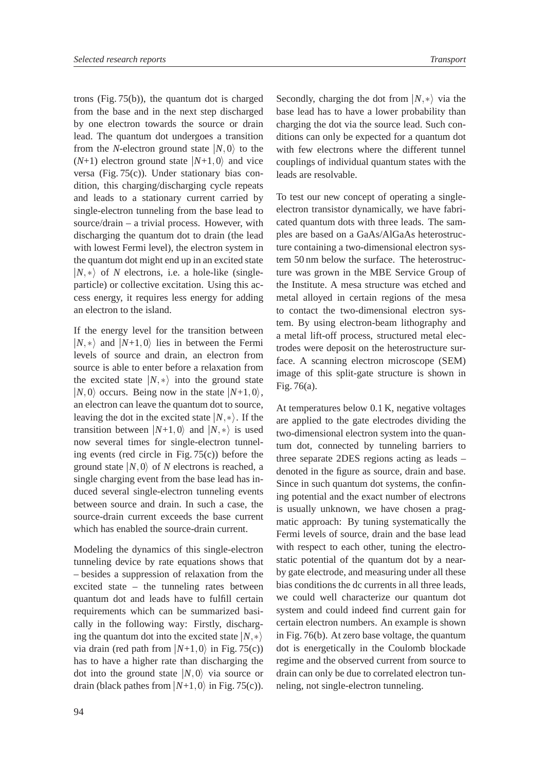trons (Fig. 75(b)), the quantum dot is charged from the base and in the next step discharged by one electron towards the source or drain lead. The quantum dot undergoes a transition from the *N*-electron ground state  $|N,0\rangle$  to the  $(N+1)$  electron ground state  $|N+1,0\rangle$  and vice versa (Fig. 75(c)). Under stationary bias condition, this charging/discharging cycle repeats and leads to a stationary current carried by single-electron tunneling from the base lead to source/drain – a trivial process. However, with discharging the quantum dot to drain (the lead with lowest Fermi level), the electron system in the quantum dot might end up in an excited state  $|N, * \rangle$  of *N* electrons, i.e. a hole-like (singleparticle) or collective excitation. Using this access energy, it requires less energy for adding an electron to the island.

If the energy level for the transition between  $|N, * \rangle$  and  $|N+1, 0 \rangle$  lies in between the Fermi levels of source and drain, an electron from source is able to enter before a relaxation from the excited state  $|N, * \rangle$  into the ground state  $\frac{m \alpha \epsilon}{\Gamma^2}$  $|N,0\rangle$  occurs. Being now in the state  $|N+1,0\rangle$ , an electron can leave the quantum dot to source, leaving the dot in the excited state  $|N, *\rangle$ . If the are applied transition between  $|N+1, 0\rangle$  and  $|N, *\rangle$  is used two-dimensional now several times for single-electron tunneling events (red circle in Fig. 75(c)) before the ground state  $|N,0\rangle$  of *N* electrons is reached, a single charging event from the base lead has induced several single-electron tunneling events between source and drain. In such a case, the source-drain current exceeds the base current which has enabled the source-drain current.

Modeling the dynamics of this single-electron tunneling device by rate equations shows that – besides a suppression of relaxation from the excited state – the tunneling rates between quantum dot and leads have to fulfill certain requirements which can be summarized basically in the following way: Firstly, discharging the quantum dot into the excited state  $|N, * \rangle$ via drain (red path from  $|N+1, 0\rangle$  in Fig. 75(c)) dot is energet has to have a higher rate than discharging the dot into the ground state  $|N,0\rangle$  via source or drain can only drain (black pathes from  $|N+1, 0\rangle$  in Fig. 75(c)). neling, not sin

 $|0\rangle$  to the with few electrons where the different tunnel  $\langle 0 \rangle$  and vice couplings of individual quantum states with the Secondly, charging the dot from  $|N, * \rangle$  via the base lead has to have a lower probability than charging the dot via the source lead. Such conditions can only be expected for a quantum dot leads are resolvable.

> To test our new concept of operating a singleelectron transistor dynamically, we have fabricated quantum dots with three leads. The samples are based on a GaAs/AlGaAs heterostructure containing a two-dimensional electron system 50 nm below the surface. The heterostructure was grown in the MBE Service Group of the Institute. A mesa structure was etched and metal alloyed in certain regions of the mesa to contact the two-dimensional electron system. By using electron-beam lithography and a metal lift-off process, structured metal electrodes were deposit on the heterostructure surface. A scanning electron microscope (SEM) image of this split-gate structure is shown in Fig. 76(a).

 $\ket{\ast}$  is used two-dimensional electron system into the quan- $\ket*{}$  in Fig. 76(b). At zero base voltage, the quantum At temperatures below 0.1 K, negative voltages are applied to the gate electrodes dividing the tum dot, connected by tunneling barriers to three separate 2DES regions acting as leads – denoted in the figure as source, drain and base. Since in such quantum dot systems, the confining potential and the exact number of electrons is usually unknown, we have chosen a pragmatic approach: By tuning systematically the Fermi levels of source, drain and the base lead with respect to each other, tuning the electrostatic potential of the quantum dot by a nearby gate electrode, and measuring under all these bias conditions the dc currents in all three leads, we could well characterize our quantum dot system and could indeed find current gain for certain electron numbers. An example is shown dot is energetically in the Coulomb blockade regime and the observed current from source to drain can only be due to correlated electron tunneling, not single-electron tunneling.